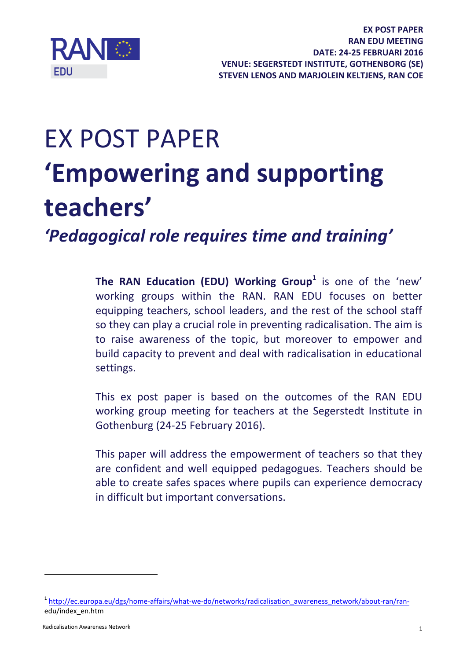

# EX POST PAPER **'Empowering and supporting teachers'**

*'Pedagogical role requires time and training'*

**The RAN Education (EDU) Working Group<sup>1</sup>** is one of the 'new' working groups within the RAN. RAN EDU focuses on better equipping teachers, school leaders, and the rest of the school staff so they can play a crucial role in preventing radicalisation. The aim is to raise awareness of the topic, but moreover to empower and build capacity to prevent and deal with radicalisation in educational settings.

This ex post paper is based on the outcomes of the RAN EDU working group meeting for teachers at the Segerstedt Institute in Gothenburg (24-25 February 2016).

This paper will address the empowerment of teachers so that they are confident and well equipped pedagogues. Teachers should be able to create safes spaces where pupils can experience democracy in difficult but important conversations.

1

<sup>&</sup>lt;sup>1</sup> http://ec.europa.eu/dgs/home-affairs/what-we-do/networks/radicalisation awareness network/about-ran/ranedu/index\_en.htm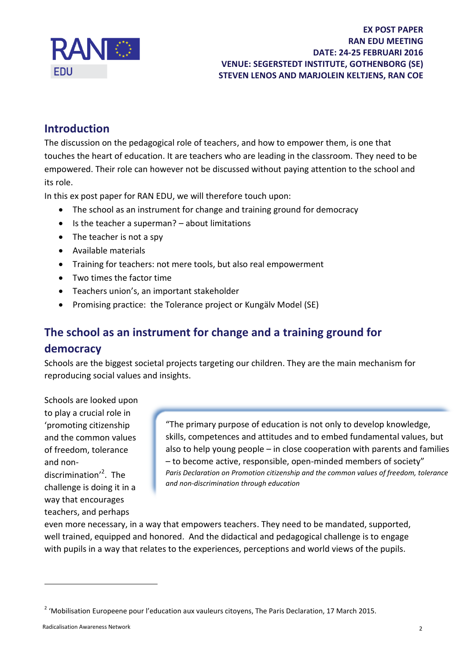

## **Introduction**

The discussion on the pedagogical role of teachers, and how to empower them, is one that touches the heart of education. It are teachers who are leading in the classroom. They need to be empowered. Their role can however not be discussed without paying attention to the school and its role.

In this ex post paper for RAN EDU, we will therefore touch upon:

- The school as an instrument for change and training ground for democracy
- Is the teacher a superman? about limitations
- $\bullet$  The teacher is not a spy
- Available materials
- Training for teachers: not mere tools, but also real empowerment
- Two times the factor time
- Teachers union's, an important stakeholder
- Promising practice: the Tolerance project or Kungälv Model (SE)

## **The school as an instrument for change and a training ground for democracy**

Schools are the biggest societal projects targeting our children. They are the main mechanism for reproducing social values and insights.

Schools are looked upon to play a crucial role in 'promoting citizenship and the common values of freedom, tolerance and nondiscrimination<sup>'2</sup>. The challenge is doing it in a way that encourages teachers, and perhaps

"The primary purpose of education is not only to develop knowledge, skills, competences and attitudes and to embed fundamental values, but also to help young people – in close cooperation with parents and families – to become active, responsible, open-minded members of society" *Paris Declaration on Promotion citizenship and the common values of freedom, tolerance and non-discrimination through education*

even more necessary, in a way that empowers teachers. They need to be mandated, supported, well trained, equipped and honored. And the didactical and pedagogical challenge is to engage with pupils in a way that relates to the experiences, perceptions and world views of the pupils.

 $\overline{a}$ 

<sup>&</sup>lt;sup>2</sup> 'Mobilisation Europeene pour l'education aux vauleurs citoyens, The Paris Declaration, 17 March 2015.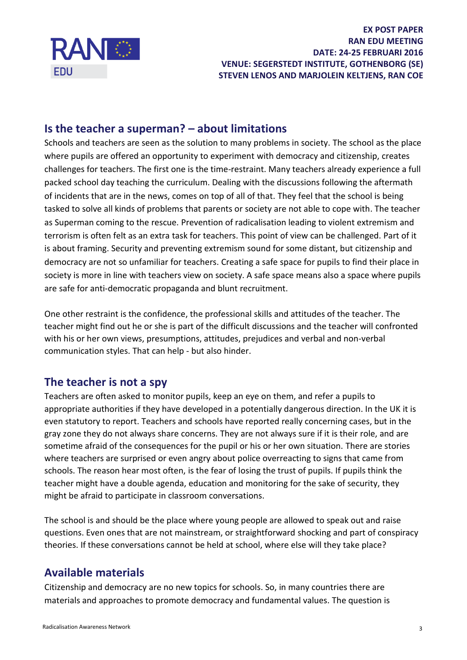

## **Is the teacher a superman? – about limitations**

Schools and teachers are seen as the solution to many problems in society. The school as the place where pupils are offered an opportunity to experiment with democracy and citizenship, creates challenges for teachers. The first one is the time-restraint. Many teachers already experience a full packed school day teaching the curriculum. Dealing with the discussions following the aftermath of incidents that are in the news, comes on top of all of that. They feel that the school is being tasked to solve all kinds of problems that parents or society are not able to cope with. The teacher as Superman coming to the rescue. Prevention of radicalisation leading to violent extremism and terrorism is often felt as an extra task for teachers. This point of view can be challenged. Part of it is about framing. Security and preventing extremism sound for some distant, but citizenship and democracy are not so unfamiliar for teachers. Creating a safe space for pupils to find their place in society is more in line with teachers view on society. A safe space means also a space where pupils are safe for anti-democratic propaganda and blunt recruitment.

One other restraint is the confidence, the professional skills and attitudes of the teacher. The teacher might find out he or she is part of the difficult discussions and the teacher will confronted with his or her own views, presumptions, attitudes, prejudices and verbal and non-verbal communication styles. That can help - but also hinder.

## **The teacher is not a spy**

Teachers are often asked to monitor pupils, keep an eye on them, and refer a pupils to appropriate authorities if they have developed in a potentially dangerous direction. In the UK it is even statutory to report. Teachers and schools have reported really concerning cases, but in the gray zone they do not always share concerns. They are not always sure if it is their role, and are sometime afraid of the consequences for the pupil or his or her own situation. There are stories where teachers are surprised or even angry about police overreacting to signs that came from schools. The reason hear most often, is the fear of losing the trust of pupils. If pupils think the teacher might have a double agenda, education and monitoring for the sake of security, they might be afraid to participate in classroom conversations.

The school is and should be the place where young people are allowed to speak out and raise questions. Even ones that are not mainstream, or straightforward shocking and part of conspiracy theories. If these conversations cannot be held at school, where else will they take place?

## **Available materials**

Citizenship and democracy are no new topics for schools. So, in many countries there are materials and approaches to promote democracy and fundamental values. The question is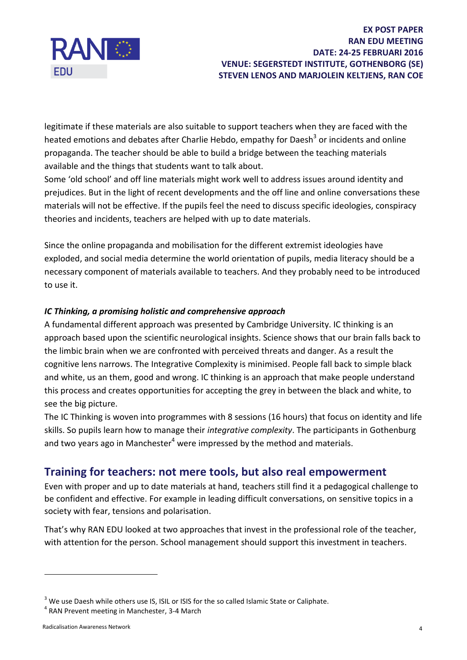

#### **EX POST PAPER RAN EDU MEETING DATE: 24-25 FEBRUARI 2016 VENUE: SEGERSTEDT INSTITUTE, GOTHENBORG (SE) STEVEN LENOS AND MARJOLEIN KELTJENS, RAN COE**

legitimate if these materials are also suitable to support teachers when they are faced with the heated emotions and debates after Charlie Hebdo, empathy for Daesh<sup>3</sup> or incidents and online propaganda. The teacher should be able to build a bridge between the teaching materials available and the things that students want to talk about.

Some 'old school' and off line materials might work well to address issues around identity and prejudices. But in the light of recent developments and the off line and online conversations these materials will not be effective. If the pupils feel the need to discuss specific ideologies, conspiracy theories and incidents, teachers are helped with up to date materials.

Since the online propaganda and mobilisation for the different extremist ideologies have exploded, and social media determine the world orientation of pupils, media literacy should be a necessary component of materials available to teachers. And they probably need to be introduced to use it.

#### *IC Thinking, a promising holistic and comprehensive approach*

A fundamental different approach was presented by Cambridge University. IC thinking is an approach based upon the scientific neurological insights. Science shows that our brain falls back to the limbic brain when we are confronted with perceived threats and danger. As a result the cognitive lens narrows. The Integrative Complexity is minimised. People fall back to simple black and white, us an them, good and wrong. IC thinking is an approach that make people understand this process and creates opportunities for accepting the grey in between the black and white, to see the big picture.

The IC Thinking is woven into programmes with 8 sessions (16 hours) that focus on identity and life skills. So pupils learn how to manage their *integrative complexity*. The participants in Gothenburg and two years ago in Manchester<sup>4</sup> were impressed by the method and materials.

## **Training for teachers: not mere tools, but also real empowerment**

Even with proper and up to date materials at hand, teachers still find it a pedagogical challenge to be confident and effective. For example in leading difficult conversations, on sensitive topics in a society with fear, tensions and polarisation.

That's why RAN EDU looked at two approaches that invest in the professional role of the teacher, with attention for the person. School management should support this investment in teachers.

1

<sup>&</sup>lt;sup>3</sup> We use Daesh while others use IS, ISIL or ISIS for the so called Islamic State or Caliphate.

<sup>&</sup>lt;sup>4</sup> RAN Prevent meeting in Manchester, 3-4 March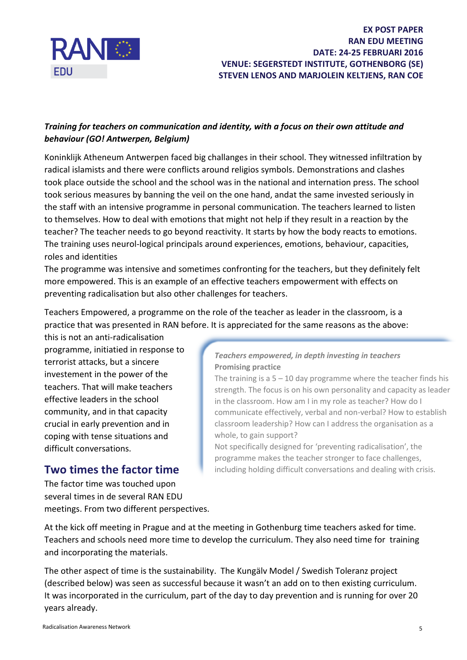

#### *Training for teachers on communication and identity, with a focus on their own attitude and behaviour (GO! Antwerpen, Belgium)*

Koninklijk Atheneum Antwerpen faced big challanges in their school. They witnessed infiltration by radical islamists and there were conflicts around religios symbols. Demonstrations and clashes took place outside the school and the school was in the national and internation press. The school took serious measures by banning the veil on the one hand, andat the same invested seriously in the staff with an intensive programme in personal communication. The teachers learned to listen to themselves. How to deal with emotions that might not help if they result in a reaction by the teacher? The teacher needs to go beyond reactivity. It starts by how the body reacts to emotions. The training uses neurol-logical principals around experiences, emotions, behaviour, capacities, roles and identities

The programme was intensive and sometimes confronting for the teachers, but they definitely felt more empowered. This is an example of an effective teachers empowerment with effects on preventing radicalisation but also other challenges for teachers.

Teachers Empowered, a programme on the role of the teacher as leader in the classroom, is a practice that was presented in RAN before. It is appreciated for the same reasons as the above:

this is not an anti-radicalisation programme, initiatied in response to terrorist attacks, but a sincere investement in the power of the teachers. That will make teachers effective leaders in the school community, and in that capacity crucial in early prevention and in coping with tense situations and difficult conversations.

## **Two times the factor time**

The factor time was touched upon several times in de several RAN EDU meetings. From two different perspectives.

#### *Teachers empowered, in depth investing in teachers* **Promising practice**

The training is a  $5 - 10$  day programme where the teacher finds his strength. The focus is on his own personality and capacity as leader in the classroom. How am I in my role as teacher? How do I communicate effectively, verbal and non-verbal? How to establish classroom leadership? How can I address the organisation as a whole, to gain support?

Not specifically designed for 'preventing radicalisation', the programme makes the teacher stronger to face challenges, including holding difficult conversations and dealing with crisis.

At the kick off meeting in Prague and at the meeting in Gothenburg time teachers asked for time. Teachers and schools need more time to develop the curriculum. They also need time for training and incorporating the materials.

The other aspect of time is the sustainability. The Kungälv Model / Swedish Toleranz project (described below) was seen as successful because it wasn't an add on to then existing curriculum. It was incorporated in the curriculum, part of the day to day prevention and is running for over 20 years already.